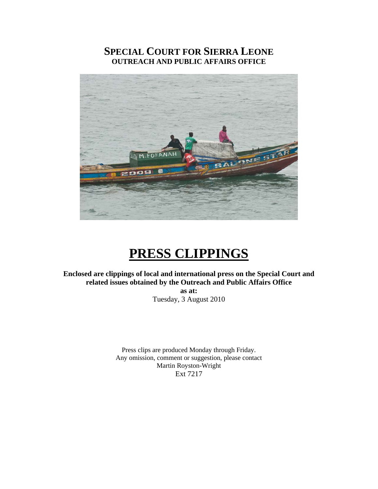# **SPECIAL COURT FOR SIERRA LEONE OUTREACH AND PUBLIC AFFAIRS OFFICE**



# **PRESS CLIPPINGS**

**Enclosed are clippings of local and international press on the Special Court and related issues obtained by the Outreach and Public Affairs Office as at:** 

Tuesday, 3 August 2010

Press clips are produced Monday through Friday. Any omission, comment or suggestion, please contact Martin Royston-Wright Ext 7217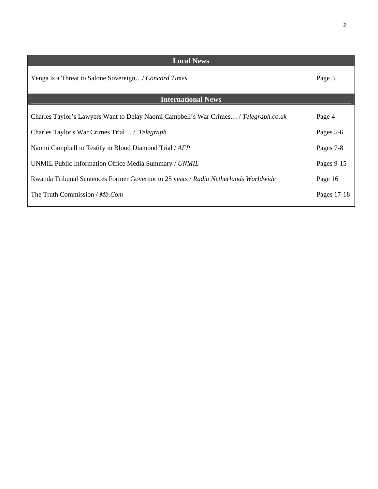| ٦ |   |         |  |
|---|---|---------|--|
|   |   | I<br>۰, |  |
|   | ٠ |         |  |
|   |   |         |  |
|   |   |         |  |

| <b>Local News</b>                                                                    |             |  |  |  |  |
|--------------------------------------------------------------------------------------|-------------|--|--|--|--|
| Yenga is a Threat to Salone Sovereign/ Concord Times                                 | Page 3      |  |  |  |  |
| <b>International News</b>                                                            |             |  |  |  |  |
| Charles Taylor's Lawyers Want to Delay Naomi Campbell's War Crimes / Telegraph.co.uk | Page 4      |  |  |  |  |
| Charles Taylor's War Crimes Trial / Telegraph                                        |             |  |  |  |  |
| Naomi Campbell to Testify in Blood Diamond Trial / AFP                               |             |  |  |  |  |
| UNMIL Public Information Office Media Summary / UNMIL                                |             |  |  |  |  |
| Rwanda Tribunal Sentences Former Governor to 25 years / Radio Netherlands Worldwide  | Page 16     |  |  |  |  |
| The Truth Commission / Mb.Com                                                        | Pages 17-18 |  |  |  |  |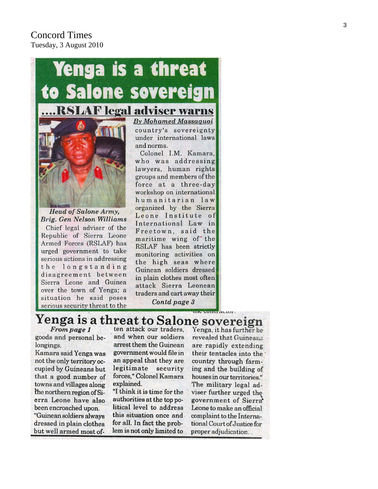# Concord Times Tuesday, 3 August 2010



urged government to take serious actions in addressing the longstanding disagreement between Sierra Leone and Guinea over the town of Yenga; a situation he said poses serious security threat to the

country's sovereignty under international laws Colonel I.M. Kamara,

who was addressing lawyers, human rights groups and members of the force at a three-day workshop on international humanitarian law organized by the Sierra Leone Institute of International Law in Freetown, said the maritime wing of the RSLAF has been strictly monitoring activities on the high seas where Guinean soldiers dressed in plain clothes most often attack Sierra Leonean traders and cart away their Contd page 3

# Yenga is a threat to Salone sovereign

From page 1 goods and personal belongings.

Kamara said Yenga was not the only territory occupied by Guineans but that a good number of towns and villages along the northern region of Sierra Leone have also been encroached upon. "Guinean soldiers always dressed in plain clothes but well armed most of-

ten attack our traders. and when our soldiers arrest them the Guinean government would file in an appeal that they are legitimate security forces," Colonel Kamara explained.

"I think it is time for the authorities at the top political level to address this situation once and for all. In fact the problem is not only limited to

Yenga, it has further be revealed that Guineans are rapidly extending their tentacles into the country through farming and the building of houses in our territories." The military legal adviser further urged the government of Sierra<sup>®</sup> Leone to make an official complaint to the International Court of Justice for proper adjudication...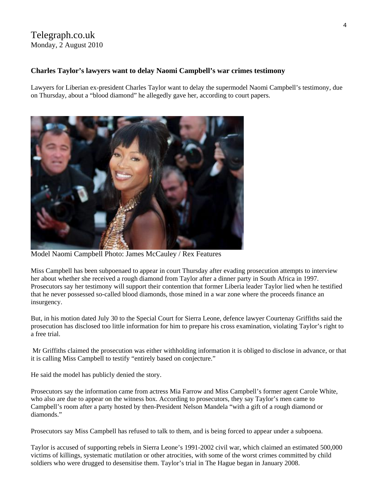# Telegraph.co.uk Monday, 2 August 2010

## **Charles Taylor's lawyers want to delay Naomi Campbell's war crimes testimony**

Lawyers for Liberian ex-president Charles Taylor want to delay the supermodel Naomi Campbell's testimony, due on Thursday, about a "blood diamond" he allegedly gave her, according to court papers.



Model Naomi Campbell Photo: James McCauley / Rex Features

Miss Campbell has been subpoenaed to appear in court Thursday after evading prosecution attempts to interview her about whether she received a rough diamond from Taylor after a dinner party in South Africa in 1997. Prosecutors say her testimony will support their contention that former [Liberia](http://www.telegraph.co.uk/news/worldnews/africaandindianocean/liberia/) leader Taylor lied when he testified that he never possessed so-called blood diamonds, those mined in a war zone where the proceeds finance an insurgency.

But, in his motion dated July 30 to the Special Court for Sierra Leone, defence lawyer Courtenay Griffiths said the prosecution has disclosed too little information for him to prepare his cross examination, violating Taylor's right to a free trial.

 Mr Griffiths claimed the prosecution was either withholding information it is obliged to disclose in advance, or that it is calling Miss Campbell to testify "entirely based on conjecture."

He said the model has publicly denied the story.

Prosecutors say the information came from actress Mia Farrow and Miss Campbell's former agent Carole White, who also are due to appear on the witness box. According to prosecutors, they say Taylor's men came to Campbell's room after a party hosted by then-President Nelson Mandela "with a gift of a rough diamond or diamonds."

Prosecutors say Miss Campbell has refused to talk to them, and is being forced to appear under a subpoena.

Taylor is accused of supporting rebels in Sierra Leone's 1991-2002 civil war, which claimed an estimated 500,000 victims of killings, systematic mutilation or other atrocities, with some of the worst crimes committed by child soldiers who were drugged to desensitise them. Taylor's trial in The Hague began in January 2008.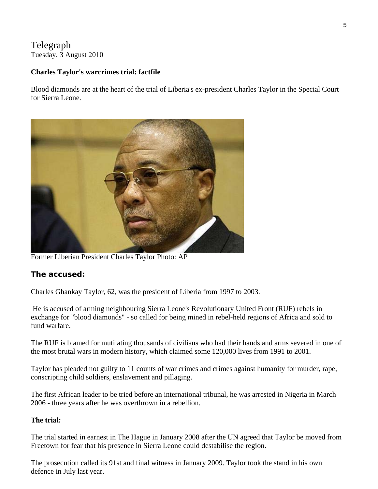# Telegraph Tuesday, 3 August 2010

# **Charles Taylor's warcrimes trial: factfile**

Blood diamonds are at the heart of the trial of Liberia's ex-president Charles Taylor in the Special Court for Sierra Leone.



Former Liberian President Charles Taylor Photo: AP

# **The accused:**

Charles Ghankay Taylor, 62, was the president of [Liberia](http://www.telegraph.co.uk/news/worldnews/africaandindianocean/liberia/) from 1997 to 2003.

 He is accused of arming neighbouring Sierra Leone's Revolutionary United Front (RUF) rebels in exchange for "blood diamonds" - so called for being mined in rebel-held regions of Africa and sold to fund warfare.

The RUF is blamed for mutilating thousands of civilians who had their hands and arms severed in one of the most brutal wars in modern history, which claimed some 120,000 lives from 1991 to 2001.

Taylor has pleaded not guilty to 11 counts of war crimes and crimes against humanity for murder, rape, conscripting child soldiers, enslavement and pillaging.

The first African leader to be tried before an international tribunal, he was arrested in Nigeria in March 2006 - three years after he was overthrown in a rebellion.

# **The trial:**

The trial started in earnest in The Hague in January 2008 after the UN agreed that Taylor be moved from Freetown for fear that his presence in Sierra Leone could destabilise the region.

The prosecution called its 91st and final witness in January 2009. Taylor took the stand in his own defence in July last year.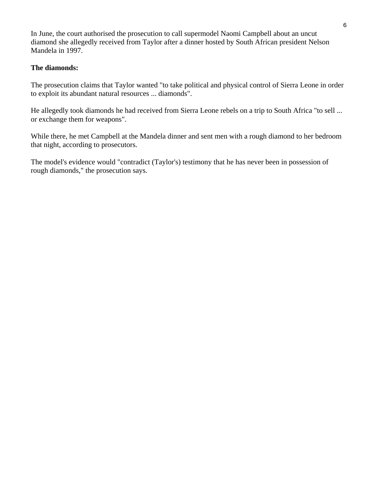In June, the court authorised the prosecution to call supermodel Naomi Campbell about an uncut diamond she allegedly received from Taylor after a dinner hosted by South African president Nelson Mandela in 1997.

# **The diamonds:**

The prosecution claims that Taylor wanted "to take political and physical control of Sierra Leone in order to exploit its abundant natural resources ... diamonds".

He allegedly took diamonds he had received from Sierra Leone rebels on a trip to South Africa "to sell ... or exchange them for weapons".

While there, he met Campbell at the Mandela dinner and sent men with a rough diamond to her bedroom that night, according to prosecutors.

The model's evidence would "contradict (Taylor's) testimony that he has never been in possession of rough diamonds," the prosecution says.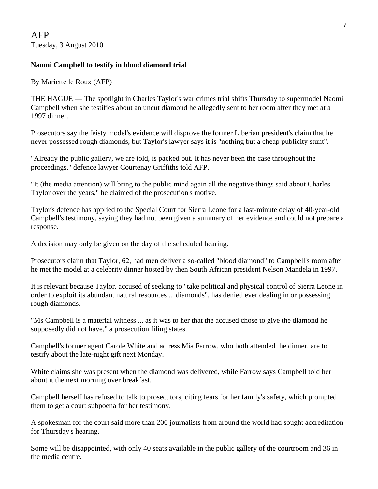# **Naomi Campbell to testify in blood diamond trial**

By Mariette le Roux (AFP)

THE HAGUE — The spotlight in Charles Taylor's war crimes trial shifts Thursday to supermodel Naomi Campbell when she testifies about an uncut diamond he allegedly sent to her room after they met at a 1997 dinner.

Prosecutors say the feisty model's evidence will disprove the former Liberian president's claim that he never possessed rough diamonds, but Taylor's lawyer says it is "nothing but a cheap publicity stunt".

"Already the public gallery, we are told, is packed out. It has never been the case throughout the proceedings," defence lawyer Courtenay Griffiths told AFP.

"It (the media attention) will bring to the public mind again all the negative things said about Charles Taylor over the years," he claimed of the prosecution's motive.

Taylor's defence has applied to the Special Court for Sierra Leone for a last-minute delay of 40-year-old Campbell's testimony, saying they had not been given a summary of her evidence and could not prepare a response.

A decision may only be given on the day of the scheduled hearing.

Prosecutors claim that Taylor, 62, had men deliver a so-called "blood diamond" to Campbell's room after he met the model at a celebrity dinner hosted by then South African president Nelson Mandela in 1997.

It is relevant because Taylor, accused of seeking to "take political and physical control of Sierra Leone in order to exploit its abundant natural resources ... diamonds", has denied ever dealing in or possessing rough diamonds.

"Ms Campbell is a material witness ... as it was to her that the accused chose to give the diamond he supposedly did not have," a prosecution filing states.

Campbell's former agent Carole White and actress Mia Farrow, who both attended the dinner, are to testify about the late-night gift next Monday.

White claims she was present when the diamond was delivered, while Farrow says Campbell told her about it the next morning over breakfast.

Campbell herself has refused to talk to prosecutors, citing fears for her family's safety, which prompted them to get a court subpoena for her testimony.

A spokesman for the court said more than 200 journalists from around the world had sought accreditation for Thursday's hearing.

Some will be disappointed, with only 40 seats available in the public gallery of the courtroom and 36 in the media centre.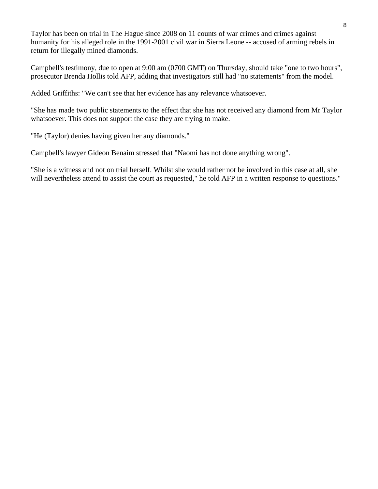Taylor has been on trial in The Hague since 2008 on 11 counts of war crimes and crimes against humanity for his alleged role in the 1991-2001 civil war in Sierra Leone -- accused of arming rebels in return for illegally mined diamonds.

Campbell's testimony, due to open at 9:00 am (0700 GMT) on Thursday, should take "one to two hours", prosecutor Brenda Hollis told AFP, adding that investigators still had "no statements" from the model.

Added Griffiths: "We can't see that her evidence has any relevance whatsoever.

"She has made two public statements to the effect that she has not received any diamond from Mr Taylor whatsoever. This does not support the case they are trying to make.

"He (Taylor) denies having given her any diamonds."

Campbell's lawyer Gideon Benaim stressed that "Naomi has not done anything wrong".

"She is a witness and not on trial herself. Whilst she would rather not be involved in this case at all, she will nevertheless attend to assist the court as requested," he told AFP in a written response to questions."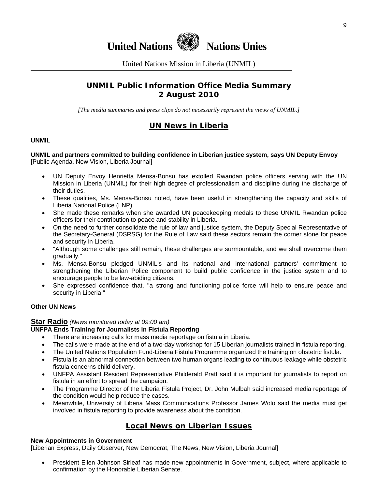

United Nations Mission in Liberia (UNMIL)

# **UNMIL Public Information Office Media Summary 2 August 2010**

*[The media summaries and press clips do not necessarily represent the views of UNMIL.]* 

# **UN News in Liberia**

#### **UNMIL**

#### **UNMIL and partners committed to building confidence in Liberian justice system, says UN Deputy Envoy**  [Public Agenda, New Vision, Liberia Journal]

- UN Deputy Envoy Henrietta Mensa-Bonsu has extolled Rwandan police officers serving with the UN Mission in Liberia (UNMIL) for their high degree of professionalism and discipline during the discharge of their duties.
- These qualities, Ms. Mensa-Bonsu noted, have been useful in strengthening the capacity and skills of Liberia National Police (LNP).
- She made these remarks when she awarded UN peacekeeping medals to these UNMIL Rwandan police officers for their contribution to peace and stability in Liberia.
- On the need to further consolidate the rule of law and justice system, the Deputy Special Representative of the Secretary-General (DSRSG) for the Rule of Law said these sectors remain the corner stone for peace and security in Liberia.
- "Although some challenges still remain, these challenges are surmountable, and we shall overcome them gradually."
- Ms. Mensa-Bonsu pledged UNMIL's and its national and international partners' commitment to strengthening the Liberian Police component to build public confidence in the justice system and to encourage people to be law-abiding citizens.
- She expressed confidence that, "a strong and functioning police force will help to ensure peace and security in Liberia."

#### **Other UN News**

## **Star Radio** *(News monitored today at 09:00 am)*

## **UNFPA Ends Training for Journalists in Fistula Reporting**

- There are increasing calls for mass media reportage on fistula in Liberia.
- The calls were made at the end of a two-day workshop for 15 Liberian journalists trained in fistula reporting.
- The United Nations Population Fund-Liberia Fistula Programme organized the training on obstetric fistula.
- Fistula is an abnormal connection between two human organs leading to continuous leakage while obstetric fistula concerns child delivery.
- UNFPA Assistant Resident Representative Philderald Pratt said it is important for journalists to report on fistula in an effort to spread the campaign.
- The Programme Director of the Liberia Fistula Project, Dr. John Mulbah said increased media reportage of the condition would help reduce the cases.
- Meanwhile, University of Liberia Mass Communications Professor James Wolo said the media must get involved in fistula reporting to provide awareness about the condition.

# **Local News on Liberian Issues**

#### **New Appointments in Government**

[Liberian Express, Daily Observer, New Democrat, The News, New Vision, Liberia Journal]

• President Ellen Johnson Sirleaf has made new appointments in Government, subject, where applicable to confirmation by the Honorable Liberian Senate.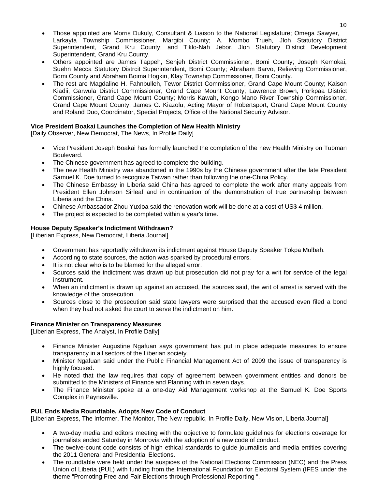- Those appointed are Morris Dukuly, Consultant & Liaison to the National Legislature; Omega Sawyer, Larkayta Township Commissioner, Margibi County; A. Mombo Trueh, Jloh Statutory District Superintendent, Grand Kru County; and Tiklo-Nah Jebor, Jloh Statutory District Development Superintendent, Grand Kru County.
- Others appointed are James Tappeh, Senjeh District Commissioner, Bomi County; Joseph Kemokai, Suehn Mecca Statutory Distrcit Superintendent, Bomi County; Abraham Barvo, Relieving Commissioner, Bomi County and Abraham Boima Hogkin, Klay Township Commissioner, Bomi County.
- The rest are Magdaline H. Fahnbulleh, Tewor District Commissioner, Grand Cape Mount County; Kaison Kiadii, Garwula District Commissioner, Grand Cape Mount County; Lawrence Brown, Porkpaa District Commissioner, Grand Cape Mount County; Morris Kawah, Kongo Mano River Township Commissioner, Grand Cape Mount County; James G. Kiazolu, Acting Mayor of Robertsport, Grand Cape Mount County and Roland Duo, Coordinator, Special Projects, Office of the National Security Advisor.

## **Vice President Boakai Launches the Completion of New Health Ministry**

[Daily Observer, New Democrat, The News, In Profile Daily]

- Vice President Joseph Boakai has formally launched the completion of the new Health Ministry on Tubman Boulevard.
- The Chinese government has agreed to complete the building.
- The new Health Ministry was abandoned in the 1990s by the Chinese government after the late President Samuel K. Doe turned to recognize Taiwan rather than following the one-China Policy.
- The Chinese Embassy in Liberia said China has agreed to complete the work after many appeals from President Ellen Johnson Sirleaf and in continuation of the demonstration of true partnership between Liberia and the China.
- Chinese Ambassador Zhou Yuxioa said the renovation work will be done at a cost of US\$ 4 million.
- The project is expected to be completed within a year's time.

## **House Deputy Speaker's Indictment Withdrawn?**

[Liberian Express, New Democrat, Liberia Journal]

- Government has reportedly withdrawn its indictment against House Deputy Speaker Tokpa Mulbah.
- According to state sources, the action was sparked by procedural errors.
- It is not clear who is to be blamed for the alleged error.
- Sources said the indictment was drawn up but prosecution did not pray for a writ for service of the legal instrument.
- When an indictment is drawn up against an accused, the sources said, the writ of arrest is served with the knowledge of the prosecution.
- Sources close to the prosecution said state lawyers were surprised that the accused even filed a bond when they had not asked the court to serve the indictment on him.

## **Finance Minister on Transparency Measures**

[Liberian Express, The Analyst, In Profile Daily]

- Finance Minister Augustine Ngafuan says government has put in place adequate measures to ensure transparency in all sectors of the Liberian society.
- Minister Ngafuan said under the Public Financial Management Act of 2009 the issue of transparency is highly focused.
- He noted that the law requires that copy of agreement between government entities and donors be submitted to the Ministers of Finance and Planning with in seven days.
- The Finance Minister spoke at a one-day Aid Management workshop at the Samuel K. Doe Sports Complex in Paynesville.

## **PUL Ends Media Roundtable, Adopts New Code of Conduct**

[Liberian Express, The Informer, The Monitor, The New republic, In Profile Daily, New Vision, Liberia Journal]

- A two-day media and editors meeting with the objective to formulate guidelines for elections coverage for journalists ended Saturday in Monrovia with the adoption of a new code of conduct.
- The twelve-count code consists of high ethical standards to guide journalists and media entities covering the 2011 General and Presidential Elections.
- The roundtable were held under the auspices of the National Elections Commission (NEC) and the Press Union of Liberia (PUL) with funding from the International Foundation for Electoral System (IFES under the theme "Promoting Free and Fair Elections through Professional Reporting ".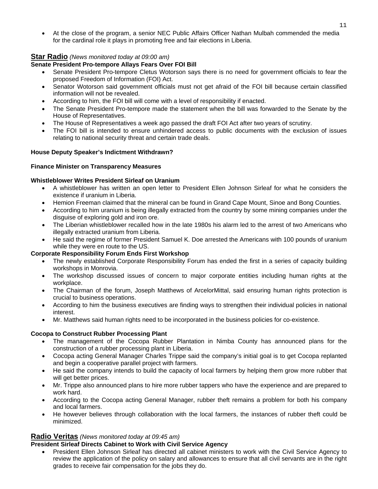• At the close of the program, a senior NEC Public Affairs Officer Nathan Mulbah commended the media for the cardinal role it plays in promoting free and fair elections in Liberia.

## **Star Radio** *(News monitored today at 09:00 am)*

## **Senate President Pro-tempore Allays Fears Over FOI Bill**

- Senate President Pro-tempore Cletus Wotorson says there is no need for government officials to fear the proposed Freedom of Information (FOI) Act.
- Senator Wotorson said government officials must not get afraid of the FOI bill because certain classified information will not be revealed.
- According to him, the FOI bill will come with a level of responsibility if enacted.
- The Senate President Pro-tempore made the statement when the bill was forwarded to the Senate by the House of Representatives.
- The House of Representatives a week ago passed the draft FOI Act after two years of scrutiny.
- The FOI bill is intended to ensure unhindered access to public documents with the exclusion of issues relating to national security threat and certain trade deals.

## **House Deputy Speaker's Indictment Withdrawn?**

## **Finance Minister on Transparency Measures**

#### **Whistleblower Writes President Sirleaf on Uranium**

- A whistleblower has written an open letter to President Ellen Johnson Sirleaf for what he considers the existence if uranium in Liberia.
- Hemion Freeman claimed that the mineral can be found in Grand Cape Mount, Sinoe and Bong Counties.
- According to him uranium is being illegally extracted from the country by some mining companies under the disguise of exploring gold and iron ore.
- The Liberian whistleblower recalled how in the late 1980s his alarm led to the arrest of two Americans who illegally extracted uranium from Liberia.
- He said the regime of former President Samuel K. Doe arrested the Americans with 100 pounds of uranium while they were en route to the US.

## **Corporate Responsibility Forum Ends First Workshop**

- The newly established Corporate Responsibility Forum has ended the first in a series of capacity building workshops in Monrovia.
- The workshop discussed issues of concern to major corporate entities including human rights at the workplace.
- The Chairman of the forum, Joseph Matthews of ArcelorMittal, said ensuring human rights protection is crucial to business operations.
- According to him the business executives are finding ways to strengthen their individual policies in national interest.
- Mr. Matthews said human rights need to be incorporated in the business policies for co-existence.

## **Cocopa to Construct Rubber Processing Plant**

- The management of the Cocopa Rubber Plantation in Nimba County has announced plans for the construction of a rubber processing plant in Liberia.
- Cocopa acting General Manager Charles Trippe said the company's initial goal is to get Cocopa replanted and begin a cooperative parallel project with farmers.
- He said the company intends to build the capacity of local farmers by helping them grow more rubber that will get better prices.
- Mr. Trippe also announced plans to hire more rubber tappers who have the experience and are prepared to work hard.
- According to the Cocopa acting General Manager, rubber theft remains a problem for both his company and local farmers.
- He however believes through collaboration with the local farmers, the instances of rubber theft could be minimized.

## **Radio Veritas** *(News monitored today at 09:45 am)*

## **President Sirleaf Directs Cabinet to Work with Civil Service Agency**

• President Ellen Johnson Sirleaf has directed all cabinet ministers to work with the Civil Service Agency to review the application of the policy on salary and allowances to ensure that all civil servants are in the right grades to receive fair compensation for the jobs they do.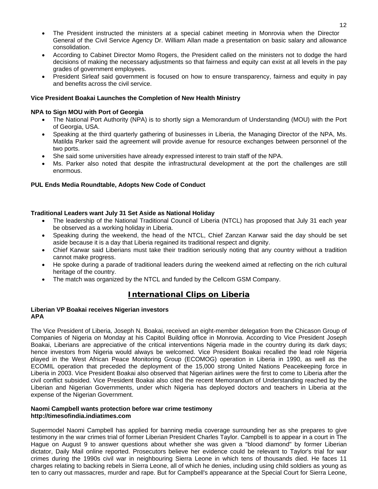- The President instructed the ministers at a special cabinet meeting in Monrovia when the Director General of the Civil Service Agency Dr. William Allan made a presentation on basic salary and allowance consolidation.
- According to Cabinet Director Momo Rogers, the President called on the ministers not to dodge the hard decisions of making the necessary adjustments so that fairness and equity can exist at all levels in the pay grades of government employees.
- President Sirleaf said government is focused on how to ensure transparency, fairness and equity in pay and benefits across the civil service.

#### **Vice President Boakai Launches the Completion of New Health Ministry**

#### **NPA to Sign MOU with Port of Georgia**

- The National Port Authority (NPA) is to shortly sign a Memorandum of Understanding (MOU) with the Port of Georgia, USA.
- Speaking at the third quarterly gathering of businesses in Liberia, the Managing Director of the NPA, Ms. Matilda Parker said the agreement will provide avenue for resource exchanges between personnel of the two ports.
- She said some universities have already expressed interest to train staff of the NPA.
- Ms. Parker also noted that despite the infrastructural development at the port the challenges are still enormous.

#### **PUL Ends Media Roundtable, Adopts New Code of Conduct**

#### **Traditional Leaders want July 31 Set Aside as National Holiday**

- The leadership of the National Traditional Council of Liberia (NTCL) has proposed that July 31 each year be observed as a working holiday in Liberia.
- Speaking during the weekend, the head of the NTCL, Chief Zanzan Karwar said the day should be set aside because it is a day that Liberia regained its traditional respect and dignity.
- Chief Karwar said Liberians must take their tradition seriously noting that any country without a tradition cannot make progress.
- He spoke during a parade of traditional leaders during the weekend aimed at reflecting on the rich cultural heritage of the country.
- The match was organized by the NTCL and funded by the Cellcom GSM Company.

# **International Clips on Liberia**

#### **Liberian VP Boakai receives Nigerian investors APA**

The Vice President of Liberia, Joseph N. Boakai, received an eight-member delegation from the Chicason Group of Companies of Nigeria on Monday at his Capitol Building office in Monrovia. According to Vice President Joseph Boakai, Liberians are appreciative of the critical interventions Nigeria made in the country during its dark days; hence investors from Nigeria would always be welcomed. Vice President Boakai recalled the lead role Nigeria played in the West African Peace Monitoring Group (ECOMOG) operation in Liberia in 1990, as well as the ECOMIL operation that preceded the deployment of the 15,000 strong United Nations Peacekeeping force in Liberia in 2003. Vice President Boakai also observed that Nigerian airlines were the first to come to Liberia after the civil conflict subsided. Vice President Boakai also cited the recent Memorandum of Understanding reached by the Liberian and Nigerian Governments, under which Nigeria has deployed doctors and teachers in Liberia at the expense of the Nigerian Government.

#### **Naomi Campbell wants protection before war crime testimony http://timesofindia.indiatimes.com**

Supermodel Naomi Campbell has applied for banning media coverage surrounding her as she prepares to give testimony in the war crimes trial of former Liberian President Charles Taylor. Campbell is to appear in a court in The Hague on August 9 to answer questions about whether she was given a "blood diamond" by former Liberian dictator, Daily Mail online reported. Prosecutors believe her evidence could be relevant to Taylor's trial for war crimes during the 1990s civil war in neighbouring Sierra Leone in which tens of thousands died. He faces 11 charges relating to backing rebels in Sierra Leone, all of which he denies, including using child soldiers as young as ten to carry out massacres, murder and rape. But for Campbell's appearance at the Special Court for Sierra Leone,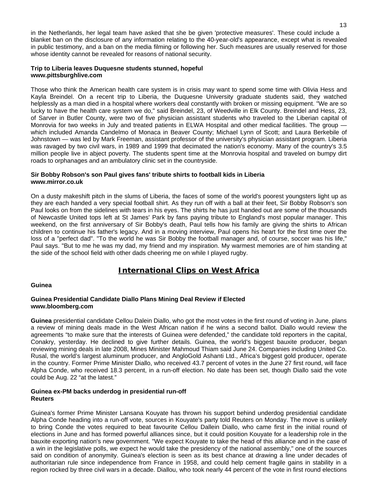in the Netherlands, her legal team have asked that she be given 'protective measures'. These could include a blanket ban on the disclosure of any information relating to the 40-year-old's appearance, except what is revealed in public testimony, and a ban on the media filming or following her. Such measures are usually reserved for those whose identity cannot be revealed for reasons of national security.

#### **Trip to Liberia leaves Duquesne students stunned, hopeful www.pittsburghlive.com**

Those who think the American health care system is in crisis may want to spend some time with Olivia Hess and Kayla Breindel. On a recent trip to Liberia, the Duquesne University graduate students said, they watched helplessly as a man died in a hospital where workers deal constantly with broken or missing equipment. "We are so lucky to have the health care system we do," said Breindel, 23, of Weedville in Elk County. Breindel and Hess, 23, of Sarver in Butler County, were two of five physician assistant students who traveled to the Liberian capital of Monrovia for two weeks in July and treated patients in ELWA Hospital and other medical facilities. The group which included Amanda Candelmo of Monaca in Beaver County; Michael Lynn of Scott; and Laura Berkebile of Johnstown — was led by Mark Freeman, assistant professor of the university's physician assistant program. Liberia was ravaged by two civil wars, in 1989 and 1999 that decimated the nation's economy. Many of the country's 3.5 million people live in abject poverty. The students spent time at the Monrovia hospital and traveled on bumpy dirt roads to orphanages and an ambulatory clinic set in the countryside.

#### **Sir Bobby Robson's son Paul gives fans' tribute shirts to football kids in Liberia www.mirror.co.uk**

On a dusty makeshift pitch in the slums of Liberia, the faces of some of the world's poorest youngsters light up as they are each handed a very special football shirt. As they run off with a ball at their feet, Sir Bobby Robson's son Paul looks on from the sidelines with tears in his eyes. The shirts he has just handed out are some of the thousands of Newcastle United tops left at St James' Park by fans paying tribute to England's most popular manager. This weekend, on the first anniversary of Sir Bobby's death, Paul tells how his family are giving the shirts to African children to continue his father's legacy. And in a moving interview, Paul opens his heart for the first time over the loss of a "perfect dad". "To the world he was Sir Bobby the football manager and, of course, soccer was his life," Paul says. "But to me he was my dad, my friend and my inspiration. My warmest memories are of him standing at the side of the school field with other dads cheering me on while I played rugby.

# **International Clips on West Africa**

#### **Guinea**

#### **Guinea Presidential Candidate Diallo Plans Mining Deal Review if Elected www.bloomberg.com**

**Guinea** presidential candidate Cellou Dalein Diallo, who got the most votes in the first round of voting in June, plans a review of mining deals made in the West African nation if he wins a second ballot. Diallo would review the agreements "to make sure that the interests of Guinea were defended," the candidate told reporters in the capital, Conakry, yesterday. He declined to give further details. Guinea, the world's biggest bauxite producer, began reviewing mining deals in late 2008, Mines Minister Mahmoud Thiam said June 24. Companies including United Co. Rusal, the world's largest aluminum producer, and AngloGold Ashanti Ltd., Africa's biggest gold producer, operate in the country. Former Prime Minister Diallo, who received 43.7 percent of votes in the June 27 first round, will face Alpha Conde, who received 18.3 percent, in a run-off election. No date has been set, though Diallo said the vote could be Aug. 22 "at the latest."

#### **Guinea ex-PM backs underdog in presidential run-off Reuters**

Guinea's former Prime Minister Lansana Kouyate has thrown his support behind underdog presidential candidate Alpha Conde heading into a run-off vote, sources in Kouyate's party told Reuters on Monday. The move is unlikely to bring Conde the votes required to beat favourite Cellou Dallein Diallo, who came first in the initial round of elections in June and has formed powerful alliances since, but it could position Kouyate for a leadership role in the bauxite exporting nation's new government. "We expect Kouyate to take the head of this alliance and in the case of a win in the legislative polls, we expect he would take the presidency of the national assembly," one of the sources said on condition of anonymity. Guinea's election is seen as its best chance at drawing a line under decades of authoritarian rule since independence from France in 1958, and could help cement fragile gains in stability in a region rocked by three civil wars in a decade. Diallou, who took nearly 44 percent of the vote in first round elections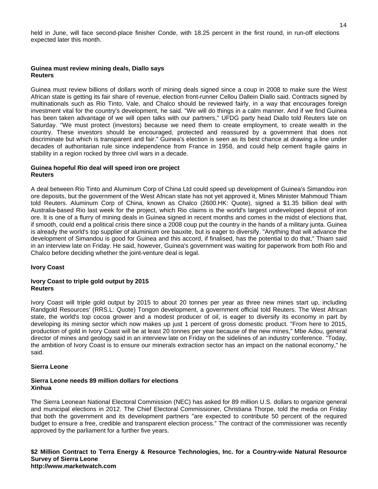held in June, will face second-place finisher Conde, with 18.25 percent in the first round, in run-off elections expected later this month.

#### **Guinea must review mining deals, Diallo says Reuters**

Guinea must review billions of dollars worth of mining deals signed since a coup in 2008 to make sure the West African state is getting its fair share of revenue, election front-runner Cellou Dallein Diallo said. Contracts signed by multinationals such as Rio Tinto, Vale, and Chalco should be reviewed fairly, in a way that encourages foreign investment vital for the country's development, he said. "We will do things in a calm manner. And if we find Guinea has been taken advantage of we will open talks with our partners," UFDG party head Diallo told Reuters late on Saturday. "We must protect (investors) because we need them to create employment, to create wealth in the country. These investors should be encouraged, protected and reassured by a government that does not discriminate but which is transparent and fair." Guinea's election is seen as its best chance at drawing a line under decades of authoritarian rule since independence from France in 1958, and could help cement fragile gains in stability in a region rocked by three civil wars in a decade.

#### **Guinea hopeful Rio deal will speed iron ore project Reuters**

A deal between Rio Tinto and Aluminum Corp of China Ltd could speed up development of Guinea's Simandou iron ore deposits, but the government of the West African state has not yet approved it, Mines Minister Mahmoud Thiam told Reuters. Aluminum Corp of China, known as Chalco (2600.HK: Quote), signed a \$1.35 billion deal with Australia-based Rio last week for the project, which Rio claims is the world's largest undeveloped deposit of iron ore. It is one of a flurry of mining deals in Guinea signed in recent months and comes in the midst of elections that, if smooth, could end a political crisis there since a 2008 coup put the country in the hands of a military junta. Guinea is already the world's top supplier of aluminium ore bauxite, but is eager to diversify. "Anything that will advance the development of Simandou is good for Guinea and this accord, if finalised, has the potential to do that," Thiam said in an interview late on Friday. He said, however, Guinea's government was waiting for paperwork from both Rio and Chalco before deciding whether the joint-venture deal is legal.

#### **Ivory Coast**

#### **Ivory Coast to triple gold output by 2015 Reuters**

Ivory Coast will triple gold output by 2015 to about 20 tonnes per year as three new mines start up, including Randgold Resources' (RRS.L: Quote) Tongon development, a government official told Reuters. The West African state, the world's top cocoa grower and a modest producer of oil, is eager to diversify its economy in part by developing its mining sector which now makes up just 1 percent of gross domestic product. "From here to 2015, production of gold in Ivory Coast will be at least 20 tonnes per year because of the new mines," Mbe Adou, general director of mines and geology said in an interview late on Friday on the sidelines of an industry conference. "Today, the ambition of Ivory Coast is to ensure our minerals extraction sector has an impact on the national economy," he said.

#### **Sierra Leone**

## **Sierra Leone needs 89 million dollars for elections Xinhua**

The Sierra Leonean National Electoral Commission (NEC) has asked for 89 million U.S. dollars to organize general and municipal elections in 2012. The Chief Electoral Commissioner, Christiana Thorpe, told the media on Friday that both the government and its development partners "are expected to contribute 50 percent of the required budget to ensure a free, credible and transparent election process." The contract of the commissioner was recently approved by the parliament for a further five years.

**\$2 Million Contract to Terra Energy & Resource Technologies, Inc. for a Country-wide Natural Resource Survey of Sierra Leone http://www.marketwatch.com**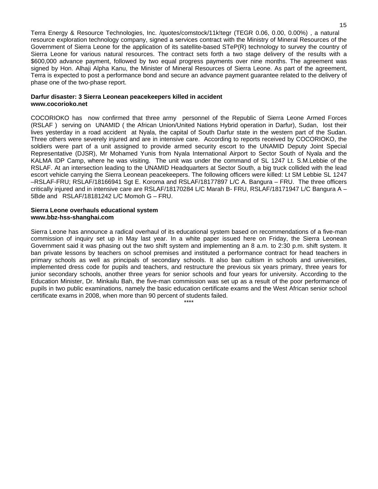Terra Energy & Resource Technologies, Inc. /quotes/comstock/11k!tegr (TEGR 0.06, 0.00, 0.00%) , a natural resource exploration technology company, signed a services contract with the Ministry of Mineral Resources of the Government of Sierra Leone for the application of its satellite-based STeP(R) technology to survey the country of Sierra Leone for various natural resources. The contract sets forth a two stage delivery of the results with a \$600,000 advance payment, followed by two equal progress payments over nine months. The agreement was signed by Hon. Alhaji Alpha Kanu, the Minister of Mineral Resources of Sierra Leone. As part of the agreement, Terra is expected to post a performance bond and secure an advance payment guarantee related to the delivery of phase one of the two-phase report.

#### **Darfur disaster: 3 Sierra Leonean peacekeepers killed in accident www.cocorioko.net**

COCORIOKO has now confirmed that three army personnel of the Republic of Sierra Leone Armed Forces (RSLAF ) serving on UNAMID ( the African Union/United Nations Hybrid operation in Darfur), Sudan, lost their lives yesterday in a road accident at Nyala, the capital of South Darfur state in the western part of the Sudan. Three others were severely injured and are in intensive care. According to reports received by COCORIOKO, the soldiers were part of a unit assigned to provide armed security escort to the UNAMID Deputy Joint Special Representative (DJSR), Mr Mohamed Yunis from Nyala International Airport to Sector South of Nyala and the KALMA IDP Camp, where he was visiting. The unit was under the command of SL 1247 Lt. S.M.Lebbie of the RSLAF. At an intersection leading to the UNAMID Headquarters at Sector South, a big truck collided with the lead escort vehicle carrying the Sierra Leonean peacekeepers. The following officers were killed: Lt SM Lebbie SL 1247 –RSLAF-FRU; RSLAF/18166941 Sgt E. Koroma and RSLAF/18177897 L/C A. Bangura – FRU. The three officers critically injured and in intensive care are RSLAF/18170284 L/C Marah B- FRU, RSLAF/18171947 L/C Bangura A – 5Bde and RSLAF/18181242 L/C Momoh G – FRU.

#### **Sierra Leone overhauls educational system www.bbz-hss-shanghai.com**

Sierra Leone has announce a radical overhaul of its educational system based on recommendations of a five-man commission of inquiry set up in May last year. In a white paper issued here on Friday, the Sierra Leonean Government said it was phasing out the two shift system and implementing an 8 a.m. to 2:30 p.m. shift system. It ban private lessons by teachers on school premises and instituted a performance contract for head teachers in primary schools as well as principals of secondary schools. It also ban cultism in schools and universities, implemented dress code for pupils and teachers, and restructure the previous six years primary, three years for junior secondary schools, another three years for senior schools and four years for university. According to the Education Minister, Dr. Minkailu Bah, the five-man commission was set up as a result of the poor performance of pupils in two public examinations, namely the basic education certificate exams and the West African senior school certificate exams in 2008, when more than 90 percent of students failed.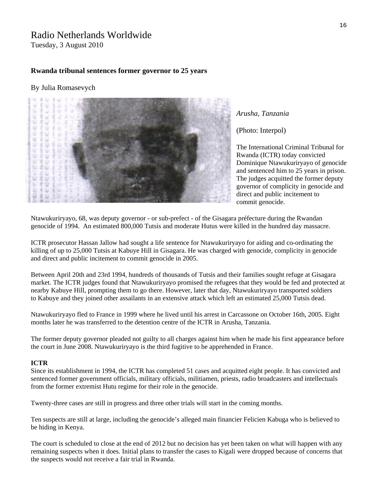# Radio Netherlands Worldwide

Tuesday, 3 August 2010

## **Rwanda tribunal sentences former governor to 25 years**

## By [Julia Romasevych](http://www.rnw.nl/international-justice/users/julia-romasevych)



## *Arusha, Tanzania*

([Photo: Interpol](http://www.interpol.int/public/icpo/pressreleases/pr2007/pr200750.asp))

Dominique Ntawukuriryayo of genocide The judges acquitted the former deputy The International Criminal Tribunal for Rwanda (ICTR) today convicted and sentenced him to 25 years in prison. governor of complicity in genocide and direct and public incitement to commit genocide.

[Ntawukuriryayo](http://www.unictr.org/tabid/128/Default.aspx?id=8&mnid=2), 68, was deputy governor - or sub-prefect - of the Gisagara préfecture during the Rwandan genocide of 1994. An estimated 800,000 Tutsis and moderate Hutus were killed in the hundred day massacre.

ICTR prosecutor Hassan Jallow had sought a life sentence for Ntawukuriryayo for aiding and co-ordinating the killing of up to 25,000 Tutsis at Kabuye Hill in Gisagara. He was [charged](http://www.unictr.org/Portals/0/Case/English/Ntawukulilyayo/indictment/ntawukuriryayo-e.pdf) with genocide, complicity in genocide and direct and public incitement to commit genocide in 2005.

Between April 20th and 23rd 1994, hundreds of thousands of Tutsis and their families sought refuge at Gisagara market. The [ICTR](http://www.unictr.org/Home/tabid/36/Default.aspx) judges found that Ntawukuriryayo promised the refugees that they would be fed and protected at nearby Kabuye Hill, prompting them to go there. However, later that day, Ntawukuriryayo transported soldiers to Kabuye and they joined other assailants in an extensive attack which left an estimated 25,000 Tutsis dead.

Ntawukuriryayo fled to France in 1999 where he lived until his arrest in Carcassone on October 16th, 2005. Eight months later he was transferred to the detention centre of the ICTR in Arusha, Tanzania.

The former deputy governor pleaded not guilty to all charges against him when he made his first appearance before the court in June 2008. Ntawukuriryayo is the third fugitive to be apprehended in France.

#### **ICTR**

Since its establishment in 1994, the ICTR has completed 51 cases and acquitted eight people. It has convicted and sentenced former government officials, military officials, militiamen, priests, radio broadcasters and intellectuals from the former extremist Hutu regime for their role in the genocide.

Twenty-three cases are still in progress and three other trials will start in the coming months.

Ten suspects are still at large, including the genocide's alleged main financier Felicien Kabuga who is believed to be hiding in Kenya.

The court is scheduled to close at the end of 2012 but no decision has yet been taken on what will happen with any remaining suspects when it does. Initial plans to transfer the cases to Kigali were dropped because of concerns that the suspects would not receive a fair trial in Rwanda.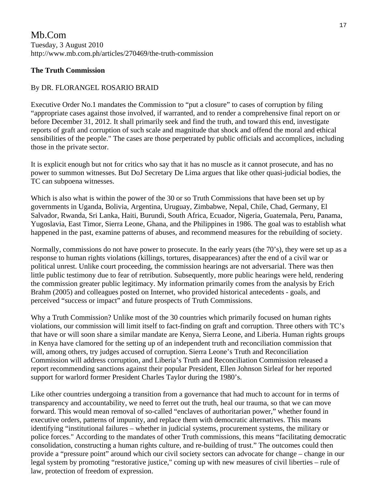# Mb.Com Tuesday, 3 August 2010 http://www.mb.com.ph/articles/270469/the-truth-commission

# **The Truth Commission**

# By DR. FLORANGEL ROSARIO BRAID

Executive Order No.1 mandates the Commission to "put a closure" to cases of corruption by filing "appropriate cases against those involved, if warranted, and to render a comprehensive final report on or before December 31, 2012. It shall primarily seek and find the truth, and toward this end, investigate reports of graft and corruption of such scale and magnitude that shock and offend the moral and ethical sensibilities of the people." The cases are those perpetrated by public officials and accomplices, including those in the private sector.

It is explicit enough but not for critics who say that it has no muscle as it cannot prosecute, and has no power to summon witnesses. But DoJ Secretary De Lima argues that like other quasi-judicial bodies, the TC can subpoena witnesses.

Which is also what is within the power of the 30 or so Truth Commissions that have been set up by governments in Uganda, Bolivia, Argentina, Uruguay, Zimbabwe, Nepal, Chile, Chad, Germany, El Salvador, Rwanda, Sri Lanka, Haiti, Burundi, South Africa, Ecuador, Nigeria, Guatemala, Peru, Panama, Yugoslavia, East Timor, Sierra Leone, Ghana, and the Philippines in 1986. The goal was to establish what happened in the past, examine patterns of abuses, and recommend measures for the rebuilding of society.

Normally, commissions do not have power to prosecute. In the early years (the 70's), they were set up as a response to human rights violations (killings, tortures, disappearances) after the end of a civil war or political unrest. Unlike court proceeding, the commission hearings are not adversarial. There was then little public testimony due to fear of retribution. Subsequently, more public hearings were held, rendering the commission greater public legitimacy. My information primarily comes from the analysis by Erich Brahm (2005) and colleagues posted on Internet, who provided historical antecedents - goals, and perceived "success or impact" and future prospects of Truth Commissions.

Why a Truth Commission? Unlike most of the 30 countries which primarily focused on human rights violations, our commission will limit itself to fact-finding on graft and corruption. Three others with TC's that have or will soon share a similar mandate are Kenya, Sierra Leone, and Liberia. Human rights groups in Kenya have clamored for the setting up of an independent truth and reconciliation commission that will, among others, try judges accused of corruption. Sierra Leone's Truth and Reconciliation Commission will address corruption, and Liberia's Truth and Reconciliation Commission released a report recommending sanctions against their popular President, Ellen Johnson Sirleaf for her reported support for warlord former President Charles Taylor during the 1980's.

Like other countries undergoing a transition from a governance that had much to account for in terms of transparency and accountability, we need to ferret out the truth, heal our trauma, so that we can move forward. This would mean removal of so-called "enclaves of authoritarian power," whether found in executive orders, patterns of impunity, and replace them with democratic alternatives. This means identifying "institutional failures – whether in judicial systems, procurement systems, the military or police forces." According to the mandates of other Truth commissions, this means "facilitating democratic consolidation, constructing a human rights culture, and re-building of trust." The outcomes could then provide a "pressure point" around which our civil society sectors can advocate for change – change in our legal system by promoting "restorative justice," coming up with new measures of civil liberties – rule of law, protection of freedom of expression.